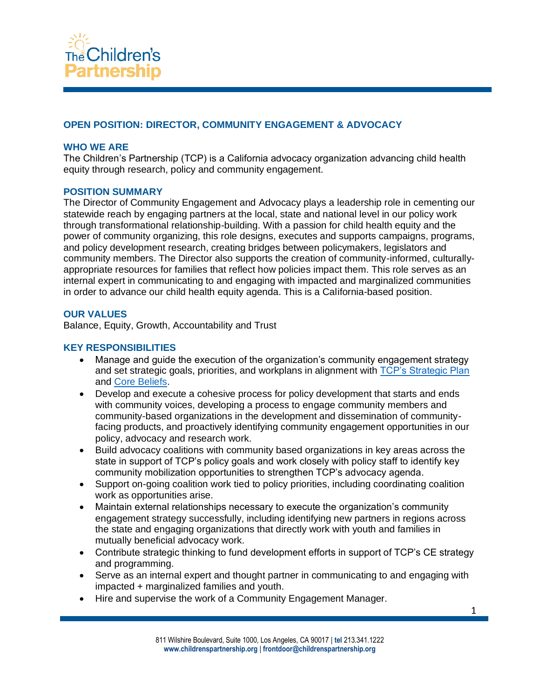

# **OPEN POSITION: DIRECTOR, COMMUNITY ENGAGEMENT & ADVOCACY**

#### **WHO WE ARE**

The Children's Partnership (TCP) is a California advocacy organization advancing child health equity through research, policy and community engagement.

#### **POSITION SUMMARY**

The Director of Community Engagement and Advocacy plays a leadership role in cementing our statewide reach by engaging partners at the local, state and national level in our policy work through transformational relationship-building. With a passion for child health equity and the power of community organizing, this role designs, executes and supports campaigns, programs, and policy development research, creating bridges between policymakers, legislators and community members. The Director also supports the creation of community-informed, culturallyappropriate resources for families that reflect how policies impact them. This role serves as an internal expert in communicating to and engaging with impacted and marginalized communities in order to advance our child health equity agenda. This is a California-based position.

#### **OUR VALUES**

Balance, Equity, Growth, Accountability and Trust

#### **KEY RESPONSIBILITIES**

- Manage and guide the execution of the organization's community engagement strategy and set strategic goals, priorities, and workplans in alignment with [TCP's Strategic Plan](https://childrenspartnership.org/wp-content/uploads/2021/12/TCP_StrategicPlan2021-23_10C-pages.pdf) and [Core Beliefs.](https://childrenspartnership.org/wp-content/uploads/2022/05/TCP-Core-Beliefs_Strategic-Plan.pdf)
- Develop and execute a cohesive process for policy development that starts and ends with community voices, developing a process to engage community members and community-based organizations in the development and dissemination of communityfacing products, and proactively identifying community engagement opportunities in our policy, advocacy and research work.
- Build advocacy coalitions with community based organizations in key areas across the state in support of TCP's policy goals and work closely with policy staff to identify key community mobilization opportunities to strengthen TCP's advocacy agenda.
- Support on-going coalition work tied to policy priorities, including coordinating coalition work as opportunities arise.
- Maintain external relationships necessary to execute the organization's community engagement strategy successfully, including identifying new partners in regions across the state and engaging organizations that directly work with youth and families in mutually beneficial advocacy work.
- Contribute strategic thinking to fund development efforts in support of TCP's CE strategy and programming.
- Serve as an internal expert and thought partner in communicating to and engaging with impacted + marginalized families and youth.
- Hire and supervise the work of a Community Engagement Manager.